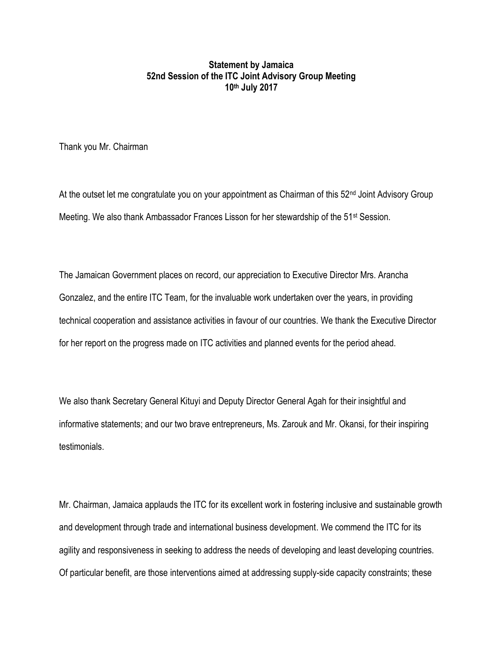## **Statement by Jamaica 52nd Session of the ITC Joint Advisory Group Meeting 10th July 2017**

Thank you Mr. Chairman

At the outset let me congratulate you on your appointment as Chairman of this 52<sup>nd</sup> Joint Advisory Group Meeting. We also thank Ambassador Frances Lisson for her stewardship of the 51st Session.

The Jamaican Government places on record, our appreciation to Executive Director Mrs. Arancha Gonzalez, and the entire ITC Team, for the invaluable work undertaken over the years, in providing technical cooperation and assistance activities in favour of our countries. We thank the Executive Director for her report on the progress made on ITC activities and planned events for the period ahead.

We also thank Secretary General Kituyi and Deputy Director General Agah for their insightful and informative statements; and our two brave entrepreneurs, Ms. Zarouk and Mr. Okansi, for their inspiring testimonials.

Mr. Chairman, Jamaica applauds the ITC for its excellent work in fostering inclusive and sustainable growth and development through trade and international business development. We commend the ITC for its agility and responsiveness in seeking to address the needs of developing and least developing countries. Of particular benefit, are those interventions aimed at addressing supply-side capacity constraints; these